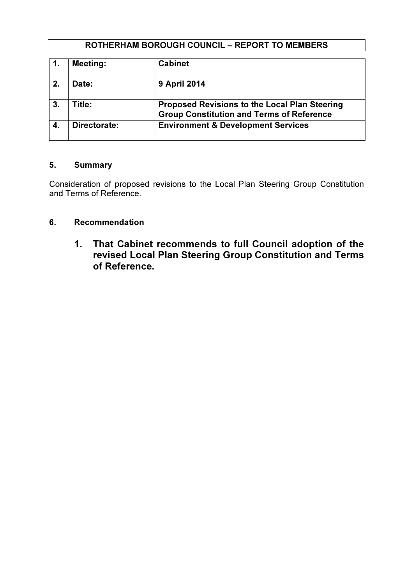## ROTHERHAM BOROUGH COUNCIL – REPORT TO MEMBERS

|                | <b>Meeting:</b> | <b>Cabinet</b>                                                                                    |
|----------------|-----------------|---------------------------------------------------------------------------------------------------|
| 2.             | Date:           | <b>9 April 2014</b>                                                                               |
| 3 <sub>1</sub> | Title:          | Proposed Revisions to the Local Plan Steering<br><b>Group Constitution and Terms of Reference</b> |
|                | Directorate:    | <b>Environment &amp; Development Services</b>                                                     |

#### 5. Summary

Consideration of proposed revisions to the Local Plan Steering Group Constitution and Terms of Reference.

# 6. Recommendation

 1. That Cabinet recommends to full Council adoption of the revised Local Plan Steering Group Constitution and Terms of Reference.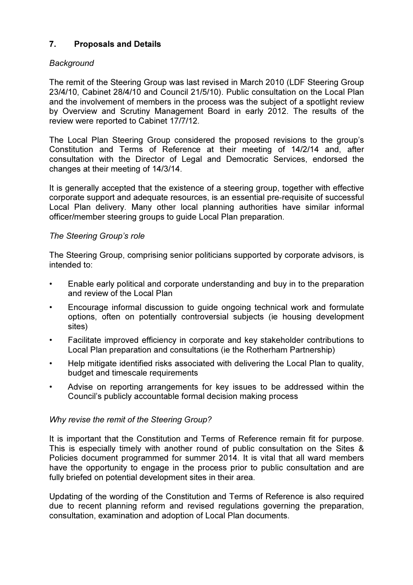# 7. Proposals and Details

## **Background**

The remit of the Steering Group was last revised in March 2010 (LDF Steering Group 23/4/10, Cabinet 28/4/10 and Council 21/5/10). Public consultation on the Local Plan and the involvement of members in the process was the subject of a spotlight review by Overview and Scrutiny Management Board in early 2012. The results of the review were reported to Cabinet 17/7/12.

The Local Plan Steering Group considered the proposed revisions to the group's Constitution and Terms of Reference at their meeting of 14/2/14 and, after consultation with the Director of Legal and Democratic Services, endorsed the changes at their meeting of 14/3/14.

It is generally accepted that the existence of a steering group, together with effective corporate support and adequate resources, is an essential pre-requisite of successful Local Plan delivery. Many other local planning authorities have similar informal officer/member steering groups to guide Local Plan preparation.

#### The Steering Group's role

The Steering Group, comprising senior politicians supported by corporate advisors, is intended to:

- Enable early political and corporate understanding and buy in to the preparation and review of the Local Plan
- Encourage informal discussion to guide ongoing technical work and formulate options, often on potentially controversial subjects (ie housing development sites)
- Facilitate improved efficiency in corporate and key stakeholder contributions to Local Plan preparation and consultations (ie the Rotherham Partnership)
- Help mitigate identified risks associated with delivering the Local Plan to quality, budget and timescale requirements
- Advise on reporting arrangements for key issues to be addressed within the Council's publicly accountable formal decision making process

## Why revise the remit of the Steering Group?

It is important that the Constitution and Terms of Reference remain fit for purpose. This is especially timely with another round of public consultation on the Sites & Policies document programmed for summer 2014. It is vital that all ward members have the opportunity to engage in the process prior to public consultation and are fully briefed on potential development sites in their area.

Updating of the wording of the Constitution and Terms of Reference is also required due to recent planning reform and revised regulations governing the preparation, consultation, examination and adoption of Local Plan documents.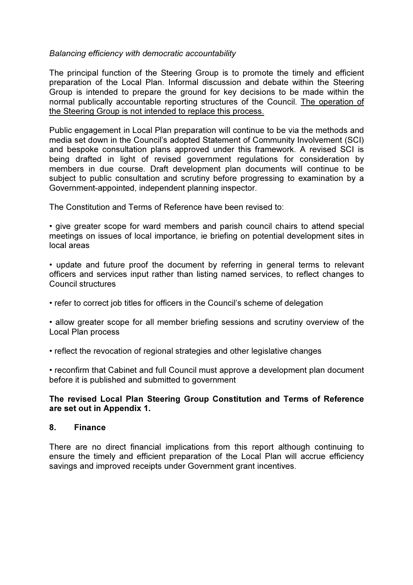#### Balancing efficiency with democratic accountability

The principal function of the Steering Group is to promote the timely and efficient preparation of the Local Plan. Informal discussion and debate within the Steering Group is intended to prepare the ground for key decisions to be made within the normal publically accountable reporting structures of the Council. The operation of the Steering Group is not intended to replace this process.

Public engagement in Local Plan preparation will continue to be via the methods and media set down in the Council's adopted Statement of Community Involvement (SCI) and bespoke consultation plans approved under this framework. A revised SCI is being drafted in light of revised government regulations for consideration by members in due course. Draft development plan documents will continue to be subject to public consultation and scrutiny before progressing to examination by a Government-appointed, independent planning inspector.

The Constitution and Terms of Reference have been revised to:

• give greater scope for ward members and parish council chairs to attend special meetings on issues of local importance, ie briefing on potential development sites in local areas

• update and future proof the document by referring in general terms to relevant officers and services input rather than listing named services, to reflect changes to Council structures

• refer to correct job titles for officers in the Council's scheme of delegation

• allow greater scope for all member briefing sessions and scrutiny overview of the Local Plan process

• reflect the revocation of regional strategies and other legislative changes

• reconfirm that Cabinet and full Council must approve a development plan document before it is published and submitted to government

#### The revised Local Plan Steering Group Constitution and Terms of Reference are set out in Appendix 1.

#### 8. Finance

There are no direct financial implications from this report although continuing to ensure the timely and efficient preparation of the Local Plan will accrue efficiency savings and improved receipts under Government grant incentives.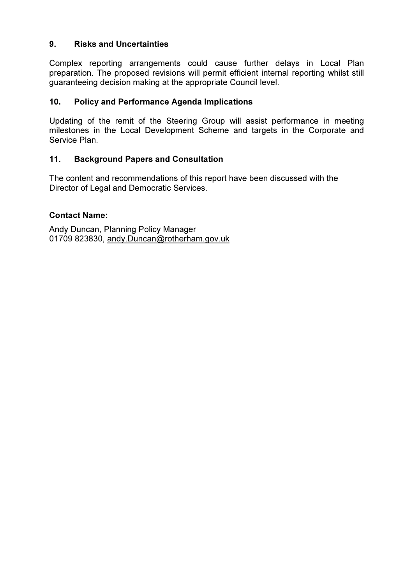## 9. Risks and Uncertainties

Complex reporting arrangements could cause further delays in Local Plan preparation. The proposed revisions will permit efficient internal reporting whilst still guaranteeing decision making at the appropriate Council level.

## 10. Policy and Performance Agenda Implications

Updating of the remit of the Steering Group will assist performance in meeting milestones in the Local Development Scheme and targets in the Corporate and Service Plan.

## 11. Background Papers and Consultation

The content and recommendations of this report have been discussed with the Director of Legal and Democratic Services.

## Contact Name:

Andy Duncan, Planning Policy Manager 01709 823830, andy.Duncan@rotherham.gov.uk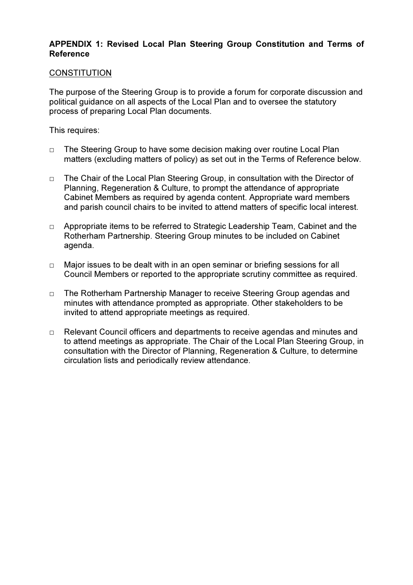#### APPENDIX 1: Revised Local Plan Steering Group Constitution and Terms of Reference

#### **CONSTITUTION**

The purpose of the Steering Group is to provide a forum for corporate discussion and political guidance on all aspects of the Local Plan and to oversee the statutory process of preparing Local Plan documents.

This requires:

- $\Box$  The Steering Group to have some decision making over routine Local Plan matters (excluding matters of policy) as set out in the Terms of Reference below.
- □ The Chair of the Local Plan Steering Group, in consultation with the Director of Planning, Regeneration & Culture, to prompt the attendance of appropriate Cabinet Members as required by agenda content. Appropriate ward members and parish council chairs to be invited to attend matters of specific local interest.
- □ Appropriate items to be referred to Strategic Leadership Team, Cabinet and the Rotherham Partnership. Steering Group minutes to be included on Cabinet agenda.
- □ Major issues to be dealt with in an open seminar or briefing sessions for all Council Members or reported to the appropriate scrutiny committee as required.
- □ The Rotherham Partnership Manager to receive Steering Group agendas and minutes with attendance prompted as appropriate. Other stakeholders to be invited to attend appropriate meetings as required.
- □ Relevant Council officers and departments to receive agendas and minutes and to attend meetings as appropriate. The Chair of the Local Plan Steering Group, in consultation with the Director of Planning, Regeneration & Culture, to determine circulation lists and periodically review attendance.